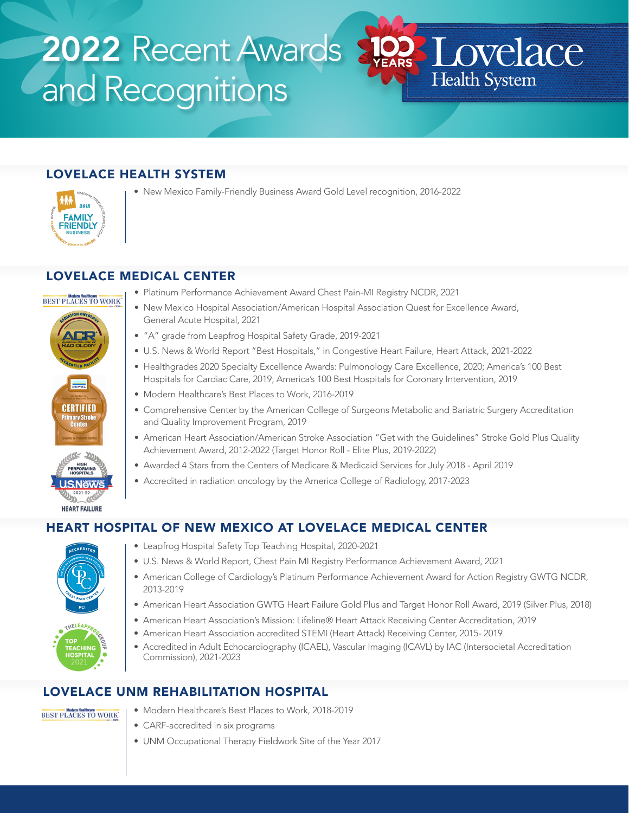# 2022 Recent Awards 2023 Lovelace **Cand Recognitions**

# LOVELACE HEALTH SYSTEM



• New Mexico Family-Friendly Business Award Gold Level recognition, 2016-2022

## LOVELACE MEDICAL CENTER



**USNews** 2021-22 **HEART FAILURE** 

- Platinum Performance Achievement Award Chest Pain-MI Registry NCDR, 2021
- New Mexico Hospital Association/American Hospital Association Quest for Excellence Award, General Acute Hospital, 2021
- "A" grade from Leapfrog Hospital Safety Grade, 2019-2021
- U.S. News & World Report "Best Hospitals," in Congestive Heart Failure, Heart Attack, 2021-2022
- Healthgrades 2020 Specialty Excellence Awards: Pulmonology Care Excellence, 2020; America's 100 Best Hospitals for Cardiac Care, 2019; America's 100 Best Hospitals for Coronary Intervention, 2019

Health System

- Modern Healthcare's Best Places to Work, 2016-2019
- Comprehensive Center by the American College of Surgeons Metabolic and Bariatric Surgery Accreditation and Quality Improvement Program, 2019
- American Heart Association/American Stroke Association "Get with the Guidelines" Stroke Gold Plus Quality Achievement Award, 2012-2022 (Target Honor Roll - Elite Plus, 2019-2022)
- Awarded 4 Stars from the Centers of Medicare & Medicaid Services for July 2018 April 2019
- Accredited in radiation oncology by the America College of Radiology, 2017-2023

## HEART HOSPITAL OF NEW MEXICO AT LOVELACE MEDICAL CENTER



- Leapfrog Hospital Safety Top Teaching Hospital, 2020-2021
- U.S. News & World Report, Chest Pain MI Registry Performance Achievement Award, 2021
- American College of Cardiology's Platinum Performance Achievement Award for Action Registry GWTG NCDR, 2013-2019
- American Heart Association GWTG Heart Failure Gold Plus and Target Honor Roll Award, 2019 (Silver Plus, 2018)
- American Heart Association's Mission: Lifeline® Heart Attack Receiving Center Accreditation, 2019
- American Heart Association accredited STEMI (Heart Attack) Receiving Center, 2015- 2019
- Accredited in Adult Echocardiography (ICAEL), Vascular Imaging (ICAVL) by IAC (Intersocietal Accreditation Commission), 2021-2023

## LOVELACE UNM REHABILITATION HOSPITAL

#### BEST PLACES TO WORK

- Modern Healthcare's Best Places to Work, 2018-2019
- CARF-accredited in six programs
- UNM Occupational Therapy Fieldwork Site of the Year 2017